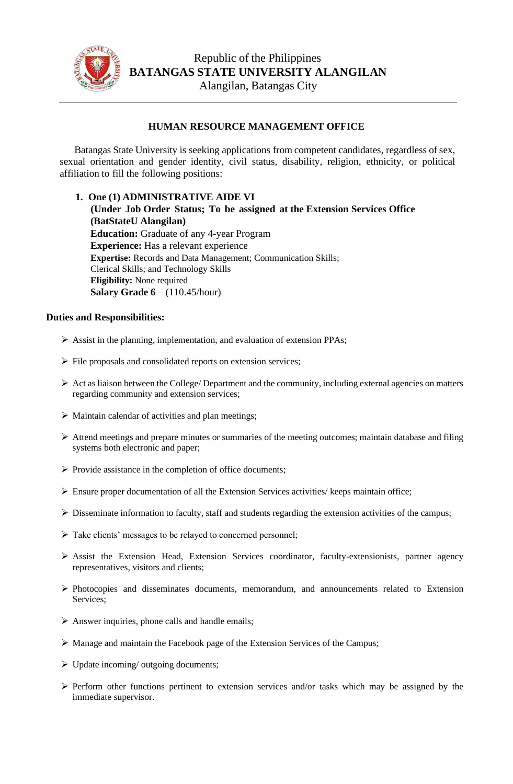

## **HUMAN RESOURCE MANAGEMENT OFFICE**

Batangas State University is seeking applications from competent candidates, regardless of sex, sexual orientation and gender identity, civil status, disability, religion, ethnicity, or political affiliation to fill the following positions:

**1. One (1) ADMINISTRATIVE AIDE VI (Under Job Order Status; To be assigned at the Extension Services Office (BatStateU Alangilan) Education:** Graduate of any 4-year Program **Experience:** Has a relevant experience **Expertise:** Records and Data Management; Communication Skills; Clerical Skills; and Technology Skills **Eligibility:** None required **Salary Grade 6** – (110.45/hour)

## **Duties and Responsibilities:**

- ➢ Assist in the planning, implementation, and evaluation of extension PPAs;
- ➢ File proposals and consolidated reports on extension services;
- $\triangleright$  Act as liaison between the College/ Department and the community, including external agencies on matters regarding community and extension services;
- ➢ Maintain calendar of activities and plan meetings;
- ➢ Attend meetings and prepare minutes or summaries of the meeting outcomes; maintain database and filing systems both electronic and paper;
- ➢ Provide assistance in the completion of office documents;
- ➢ Ensure proper documentation of all the Extension Services activities/ keeps maintain office;
- ➢ Disseminate information to faculty, staff and students regarding the extension activities of the campus;
- ➢ Take clients' messages to be relayed to concerned personnel;
- ➢ Assist the Extension Head, Extension Services coordinator, faculty-extensionists, partner agency representatives, visitors and clients;
- ➢ Photocopies and disseminates documents, memorandum, and announcements related to Extension Services;
- $\triangleright$  Answer inquiries, phone calls and handle emails;
- $\triangleright$  Manage and maintain the Facebook page of the Extension Services of the Campus;
- ➢ Update incoming/ outgoing documents;
- ➢ Perform other functions pertinent to extension services and/or tasks which may be assigned by the immediate supervisor.